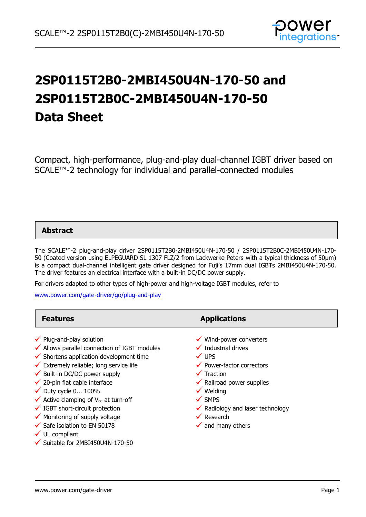

# **2SP0115T2B0-2MBI450U4N-170-50 and 2SP0115T2B0C-2MBI450U4N-170-50 Data Sheet**

Compact, high-performance, plug-and-play dual-channel IGBT driver based on SCALE™-2 technology for individual and parallel-connected modules

### **Abstract**

The SCALE™-2 plug-and-play driver 2SP0115T2B0-2MBI450U4N-170-50 / 2SP0115T2B0C-2MBI450U4N-170- 50 (Coated version using ELPEGUARD SL 1307 FLZ/2 from Lackwerke Peters with a typical thickness of 50µm) is a compact dual-channel intelligent gate driver designed for Fuji's 17mm dual IGBTs 2MBI450U4N-170-50. The driver features an electrical interface with a built-in DC/DC power supply.

For drivers adapted to other types of high-power and high-voltage IGBT modules, refer to

[www.power.com/gate-driver/go/plug-and-play](http://www.power.com/gate-driver/go/plug-and-play)

| <b>Features</b>                                                                                                                                                                                                                                                                                                                                                                                                                                                                                                                                                        | <b>Applications</b>                                                                                                                                                                                                                                                                                                                         |
|------------------------------------------------------------------------------------------------------------------------------------------------------------------------------------------------------------------------------------------------------------------------------------------------------------------------------------------------------------------------------------------------------------------------------------------------------------------------------------------------------------------------------------------------------------------------|---------------------------------------------------------------------------------------------------------------------------------------------------------------------------------------------------------------------------------------------------------------------------------------------------------------------------------------------|
| $\checkmark$ Plug-and-play solution<br>$\checkmark$ Allows parallel connection of IGBT modules<br>$\checkmark$ Shortens application development time<br>$\checkmark$ Extremely reliable; long service life<br>$\checkmark$ Built-in DC/DC power supply<br>$\checkmark$ 20-pin flat cable interface<br>$\checkmark$ Duty cycle 0 100%<br>$\checkmark$ Active clamping of V <sub>ce</sub> at turn-off<br>$\checkmark$ IGBT short-circuit protection<br>$\checkmark$ Monitoring of supply voltage<br>$\checkmark$ Safe isolation to EN 50178<br>$\checkmark$ UL compliant | $\checkmark$ Wind-power converters<br>$\checkmark$ Industrial drives<br>$\checkmark$ UPS<br>◆ Power-factor correctors<br>$\checkmark$ Traction<br>$\checkmark$ Railroad power supplies<br>$\checkmark$ Welding<br>$\checkmark$ SMPS<br>$\checkmark$ Radiology and laser technology<br>$\checkmark$ Research<br>$\checkmark$ and many others |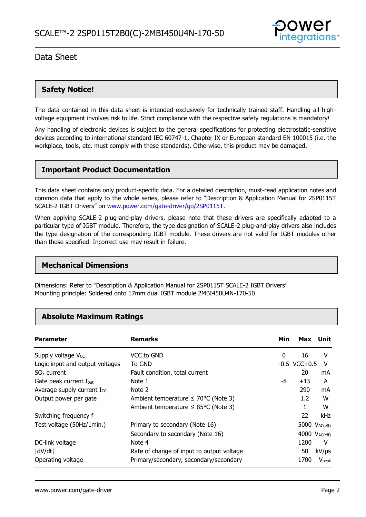

# **Safety Notice!**

The data contained in this data sheet is intended exclusively for technically trained staff. Handling all highvoltage equipment involves risk to life. Strict compliance with the respective safety regulations is mandatory!

Any handling of electronic devices is subject to the general specifications for protecting electrostatic-sensitive devices according to international standard IEC 60747-1, Chapter IX or European standard EN 100015 (i.e. the workplace, tools, etc. must comply with these standards). Otherwise, this product may be damaged.

## **Important Product Documentation**

This data sheet contains only product-specific data. For a detailed description, must-read application notes and common data that apply to the whole series, please refer to "Description & Application Manual for 2SP0115T SCALE-2 IGBT Drivers" on [www.power.com/gate-driver/go/2SP0115T.](http://www.power.com/gate-driver/go/2SP0115T)

When applying SCALE-2 plug-and-play drivers, please note that these drivers are specifically adapted to a particular type of IGBT module. Therefore, the type designation of SCALE-2 plug-and-play drivers also includes the type designation of the corresponding IGBT module. These drivers are not valid for IGBT modules other than those specified. Incorrect use may result in failure.

### **Mechanical Dimensions**

Dimensions: Refer to "Description & Application Manual for 2SP0115T SCALE-2 IGBT Drivers" Mounting principle: Soldered onto 17mm dual IGBT module 2MBI450U4N-170-50

## **Absolute Maximum Ratings**

| <b>Parameter</b>                   | <b>Remarks</b>                                   | Min | Max                       | Unit              |
|------------------------------------|--------------------------------------------------|-----|---------------------------|-------------------|
| Supply voltage Vcc                 | VCC to GND                                       | 0   | 16                        | v                 |
| Logic input and output voltages    | To GND                                           |     | $-0.5$ VCC $+0.5$         | v                 |
| $SOx$ current                      | Fault condition, total current                   |     | 20                        | mA                |
| Gate peak current I <sub>out</sub> | Note 1                                           | -8  | $+15$                     | A                 |
| Average supply current Icc         | Note 2                                           |     | 290                       | mA                |
| Output power per gate              | Ambient temperature $\leq 70^{\circ}$ C (Note 3) |     | $1.2^{\circ}$             | W                 |
|                                    | Ambient temperature $\leq$ 85°C (Note 3)         |     | 1                         | W                 |
| Switching frequency f              |                                                  |     | 22                        | kHz               |
| Test voltage (50Hz/1min.)          | Primary to secondary (Note 16)                   |     | 5000 $V_{AC(eff)}$        |                   |
|                                    | Secondary to secondary (Note 16)                 |     | 4000 V <sub>AC(eff)</sub> |                   |
| DC-link voltage                    | Note 4                                           |     | 1200                      | V                 |
| dV/dt                              | Rate of change of input to output voltage        |     | 50                        | $kV/\mu s$        |
| Operating voltage                  | Primary/secondary, secondary/secondary           |     | 1700                      | V <sub>peak</sub> |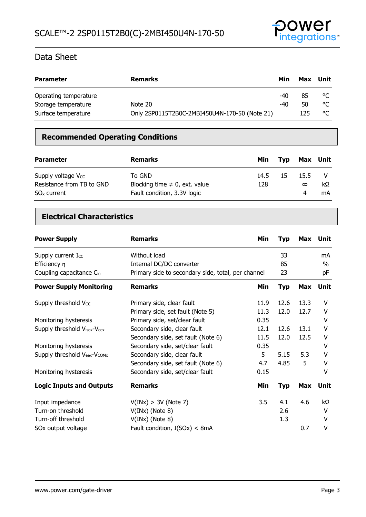

| <b>Parameter</b>      | <b>Remarks</b>                                | Min | Max | Unit |
|-----------------------|-----------------------------------------------|-----|-----|------|
| Operating temperature |                                               | -40 | 85  | °C   |
| Storage temperature   | Note 20                                       | -40 | 50  | °C   |
| Surface temperature   | Only 2SP0115T2B0C-2MBI450U4N-170-50 (Note 21) |     | 125 | °C   |

# **Recommended Operating Conditions**

| <b>Parameter</b>                                                      | <b>Remarks</b>                                                              | Min         | Tvp | Max Unit              |          |
|-----------------------------------------------------------------------|-----------------------------------------------------------------------------|-------------|-----|-----------------------|----------|
| Supply voltage $V_{CC}$<br>Resistance from TB to GND<br>$SOx$ current | To GND<br>Blocking time $\neq$ 0, ext. value<br>Fault condition, 3.3V logic | 14.5<br>128 | 15  | 15.5<br>$\infty$<br>4 | kΩ<br>mA |

# **Electrical Characteristics**

| <b>Power Supply</b>             | <b>Remarks</b>                                     | Min  | <b>Typ</b> |            | Max Unit |
|---------------------------------|----------------------------------------------------|------|------------|------------|----------|
| Supply current Icc              | Without load                                       |      | 33         |            | mA       |
| Efficiency $\eta$               | Internal DC/DC converter                           |      | 85         |            | $\%$     |
| Coupling capacitance Cio        | Primary side to secondary side, total, per channel |      | 23         |            | рF       |
| <b>Power Supply Monitoring</b>  | <b>Remarks</b>                                     | Min  | <b>Typ</b> | Max        | Unit     |
| Supply threshold Vcc            | Primary side, clear fault                          | 11.9 | 12.6       | 13.3       | v        |
|                                 | Primary side, set fault (Note 5)                   | 11.3 | 12.0       | 12.7       | v        |
| Monitoring hysteresis           | Primary side, set/clear fault                      | 0.35 |            |            | v        |
| Supply threshold Visox-Veex     | Secondary side, clear fault                        | 12.1 | 12.6       | 13.1       | v        |
|                                 | Secondary side, set fault (Note 6)                 | 11.5 | 12.0       | 12.5       | v        |
| Monitoring hysteresis           | Secondary side, set/clear fault                    | 0.35 |            |            | V        |
| Supply threshold Veex-VCOMx     | Secondary side, clear fault                        | 5    | 5.15       | 5.3        | v        |
|                                 | Secondary side, set fault (Note 6)                 | 4.7  | 4.85       | 5          | v        |
| Monitoring hysteresis           | Secondary side, set/clear fault                    | 0.15 |            |            | V        |
| <b>Logic Inputs and Outputs</b> | <b>Remarks</b>                                     | Min  | <b>Typ</b> | <b>Max</b> | Unit     |
| Input impedance                 | V(INx) > 3V (Note 7)                               | 3.5  | 4.1        | 4.6        | kΩ       |
| Turn-on threshold               | $V(INx)$ (Note 8)                                  |      | 2.6        |            | v        |
| Turn-off threshold              | $V(INx)$ (Note 8)                                  |      | 1.3        |            | v        |
| SOx output voltage              | Fault condition, $I(SOx) < 8mA$                    |      |            | 0.7        | v        |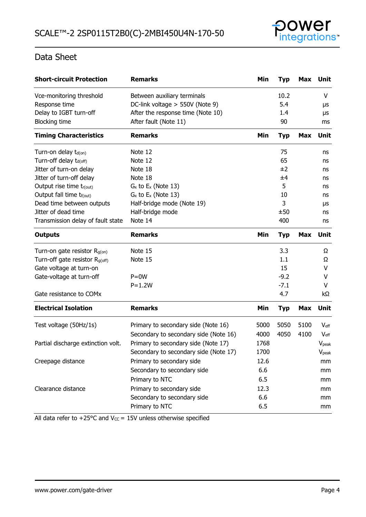

| <b>Short-circuit Protection</b>            | <b>Remarks</b>                        | Min  | <b>Typ</b> | Max        | <b>Unit</b>       |
|--------------------------------------------|---------------------------------------|------|------------|------------|-------------------|
| Vce-monitoring threshold                   | Between auxiliary terminals           |      | 10.2       |            | v                 |
| Response time                              | DC-link voltage > 550V (Note 9)       |      | 5.4        |            | μs                |
| Delay to IGBT turn-off                     | After the response time (Note 10)     |      | 1.4        |            | μs                |
| <b>Blocking time</b>                       | After fault (Note 11)                 |      | 90         |            | ms                |
| <b>Timing Characteristics</b>              | <b>Remarks</b>                        | Min  | <b>Typ</b> | <b>Max</b> | Unit              |
| Turn-on delay $t_{d(0n)}$                  | Note 12                               |      | 75         |            | ns                |
| Turn-off delay t <sub>d(off)</sub>         | Note 12                               |      | 65         |            | ns                |
| Jitter of turn-on delay                    | Note 18                               |      | ±2         |            | ns                |
| Jitter of turn-off delay                   | Note 18                               |      | ±4         |            | ns                |
| Output rise time tr(out)                   | $G_x$ to $E_x$ (Note 13)              |      | 5          |            | ns                |
| Output fall time t <sub>f(out)</sub>       | $G_x$ to $E_x$ (Note 13)              |      | 10         |            | ns                |
| Dead time between outputs                  | Half-bridge mode (Note 19)            |      | 3          |            | μs                |
| Jitter of dead time                        | Half-bridge mode                      |      | ±50        |            | ns                |
| Transmission delay of fault state          | Note 14                               |      | 400        |            | ns                |
| <b>Outputs</b>                             | <b>Remarks</b>                        | Min  | <b>Typ</b> | <b>Max</b> | Unit              |
| Turn-on gate resistor R <sub>g(on)</sub>   | Note 15                               |      | 3.3        |            | Ω                 |
| Turn-off gate resistor R <sub>g(off)</sub> | Note 15                               |      | 1.1        |            | Ω                 |
| Gate voltage at turn-on                    |                                       |      | 15         |            | v                 |
| Gate-voltage at turn-off                   | $P = 0W$                              |      | $-9.2$     |            | v                 |
|                                            | $P=1.2W$                              |      | $-7.1$     |            | v                 |
| Gate resistance to COMx                    |                                       |      | 4.7        |            | kΩ                |
| <b>Electrical Isolation</b>                | <b>Remarks</b>                        | Min  | <b>Typ</b> | <b>Max</b> | Unit              |
| Test voltage (50Hz/1s)                     | Primary to secondary side (Note 16)   | 5000 | 5050       | 5100       | $V_{\text{eff}}$  |
|                                            | Secondary to secondary side (Note 16) | 4000 | 4050       | 4100       | $V_{\text{eff}}$  |
| Partial discharge extinction volt.         | Primary to secondary side (Note 17)   | 1768 |            |            | V <sub>peak</sub> |
|                                            | Secondary to secondary side (Note 17) | 1700 |            |            | <b>V</b> peak     |
| Creepage distance                          | Primary to secondary side             | 12.6 |            |            | mm                |
|                                            | Secondary to secondary side           | 6.6  |            |            | mm                |
|                                            | Primary to NTC                        | 6.5  |            |            | mm                |
| Clearance distance                         | Primary to secondary side             | 12.3 |            |            | mm                |
|                                            | Secondary to secondary side           | 6.6  |            |            | mm                |
|                                            | Primary to NTC                        | 6.5  |            |            | mm                |

All data refer to +25 $\degree$ C and V $_{\degree}$  = 15V unless otherwise specified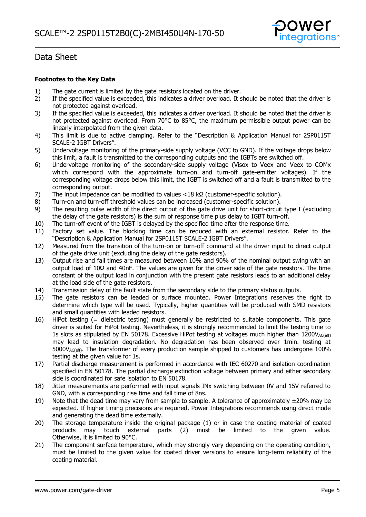

#### **Footnotes to the Key Data**

- 1) The gate current is limited by the gate resistors located on the driver.<br>2) If the specified value is exceeded, this indicates a driver overload. It s
- 2) If the specified value is exceeded, this indicates a driver overload. It should be noted that the driver is not protected against overload.
- 3) If the specified value is exceeded, this indicates a driver overload. It should be noted that the driver is not protected against overload. From 70°C to 85°C, the maximum permissible output power can be linearly interpolated from the given data.
- 4) This limit is due to active clamping. Refer to the "Description & Application Manual for 2SP0115T SCALE-2 IGBT Drivers".
- 5) Undervoltage monitoring of the primary-side supply voltage (VCC to GND). If the voltage drops below this limit, a fault is transmitted to the corresponding outputs and the IGBTs are switched off.
- 6) Undervoltage monitoring of the secondary-side supply voltage (Visox to Veex and Veex to COMx which correspond with the approximate turn-on and turn-off gate-emitter voltages). If the corresponding voltage drops below this limit, the IGBT is switched off and a fault is transmitted to the corresponding output.
- 7) The input impedance can be modified to values <18 kΩ (customer-specific solution).
- 8) Turn-on and turn-off threshold values can be increased (customer-specific solution).
- 9) The resulting pulse width of the direct output of the gate drive unit for short-circuit type I (excluding the delay of the gate resistors) is the sum of response time plus delay to IGBT turn-off.
- 10) The turn-off event of the IGBT is delayed by the specified time after the response time.
- 11) Factory set value. The blocking time can be reduced with an external resistor. Refer to the "Description & Application Manual for 2SP0115T SCALE-2 IGBT Drivers".
- 12) Measured from the transition of the turn-on or turn-off command at the driver input to direct output of the gate drive unit (excluding the delay of the gate resistors).
- 13) Output rise and fall times are measured between 10% and 90% of the nominal output swing with an output load of 10Ω and 40nF. The values are given for the driver side of the gate resistors. The time constant of the output load in conjunction with the present gate resistors leads to an additional delay at the load side of the gate resistors.
- 14) Transmission delay of the fault state from the secondary side to the primary status outputs.
- 15) The gate resistors can be leaded or surface mounted. Power Integrations reserves the right to determine which type will be used. Typically, higher quantities will be produced with SMD resistors and small quantities with leaded resistors.
- 16) HiPot testing (= dielectric testing) must generally be restricted to suitable components. This gate driver is suited for HiPot testing. Nevertheless, it is strongly recommended to limit the testing time to 1s slots as stipulated by EN 50178. Excessive HiPot testing at voltages much higher than  $1200V_{AC(eff)}$ may lead to insulation degradation. No degradation has been observed over 1min. testing at 5000VAC(eff). The transformer of every production sample shipped to customers has undergone 100% testing at the given value for 1s.
- 17) Partial discharge measurement is performed in accordance with IEC 60270 and isolation coordination specified in EN 50178. The partial discharge extinction voltage between primary and either secondary side is coordinated for safe isolation to EN 50178.
- 18) Jitter measurements are performed with input signals INx switching between 0V and 15V referred to GND, with a corresponding rise time and fall time of 8ns.
- 19) Note that the dead time may vary from sample to sample. A tolerance of approximately  $\pm 20\%$  may be expected. If higher timing precisions are required, Power Integrations recommends using direct mode and generating the dead time externally.
- 20) The storage temperature inside the original package (1) or in case the coating material of coated products may touch external parts (2) must be limited to the given value. Otherwise, it is limited to 90°C.
- 21) The component surface temperature, which may strongly vary depending on the operating condition, must be limited to the given value for coated driver versions to ensure long-term reliability of the coating material.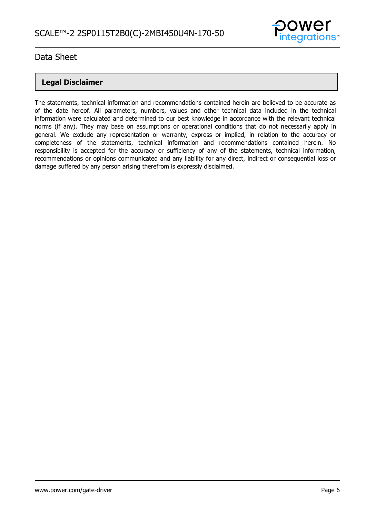

## **Legal Disclaimer**

The statements, technical information and recommendations contained herein are believed to be accurate as of the date hereof. All parameters, numbers, values and other technical data included in the technical information were calculated and determined to our best knowledge in accordance with the relevant technical norms (if any). They may base on assumptions or operational conditions that do not necessarily apply in general. We exclude any representation or warranty, express or implied, in relation to the accuracy or completeness of the statements, technical information and recommendations contained herein. No responsibility is accepted for the accuracy or sufficiency of any of the statements, technical information, recommendations or opinions communicated and any liability for any direct, indirect or consequential loss or damage suffered by any person arising therefrom is expressly disclaimed.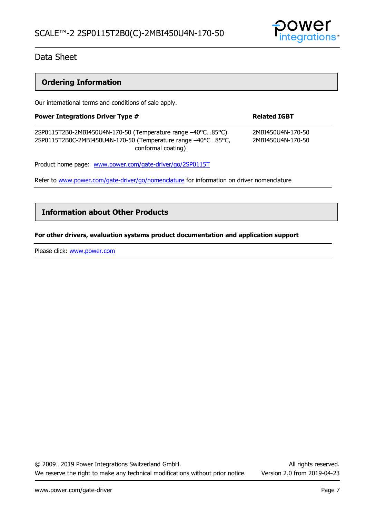

# **Ordering Information**

Our international terms and conditions of sale apply.

| <b>Power Integrations Driver Type #</b>                                                                                                           | <b>Related IGBT</b>                    |  |
|---------------------------------------------------------------------------------------------------------------------------------------------------|----------------------------------------|--|
| 2SP0115T2B0-2MBI450U4N-170-50 (Temperature range -40°C85°C)<br>2SP0115T2B0C-2MBI450U4N-170-50 (Temperature range -40°C85°C,<br>conformal coating) | 2MBI450U4N-170-50<br>2MBI450U4N-170-50 |  |
| Product home page: www.power.com/gate-driver/go/2SP0115T                                                                                          |                                        |  |

Refer to [www.power.com/gate-driver/go/nomenclature](http://www.power.com/gate-driver/go/nomenclature) for information on driver nomenclature

### **Information about Other Products**

#### **For other drivers, evaluation systems product documentation and application support**

Please click: [www.power.com](http://www.power.com/)